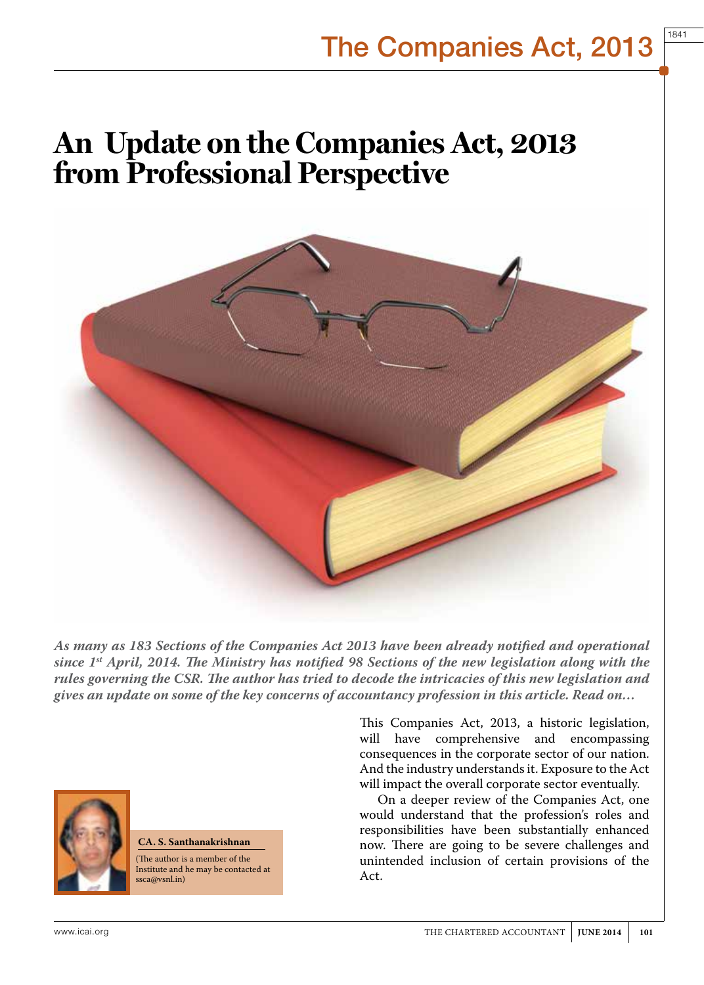1841

# **An Update on the Companies Act, 2013 from Professional Perspective**



*As many as 183 Sections of the Companies Act 2013 have been already notified and operational since 1st April, 2014. The Ministry has notified 98 Sections of the new legislation along with the rules governing the CSR. The author has tried to decode the intricacies of this new legislation and gives an update on some of the key concerns of accountancy profession in this article. Read on…* 



**CA. S. Santhanakrishnan**  (The author is a member of the Institute and he may be contacted at

ssca@vsnl.in)

will have comprehensive and encompassing consequences in the corporate sector of our nation. And the industry understands it. Exposure to the Act will impact the overall corporate sector eventually. On a deeper review of the Companies Act, one

would understand that the profession's roles and responsibilities have been substantially enhanced now. There are going to be severe challenges and unintended inclusion of certain provisions of the Act.

This Companies Act, 2013, a historic legislation,